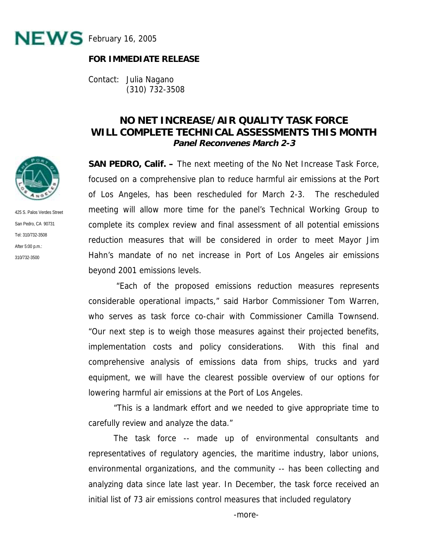

## **FOR IMMEDIATE RELEASE**

Contact: Julia Nagano (310) 732-3508

## **NO NET INCREASE/AIR QUALITY TASK FORCE WILL COMPLETE TECHNICAL ASSESSMENTS THIS MONTH Panel Reconvenes March 2-3**

**SAN PEDRO, Calif. –** The next meeting of the No Net Increase Task Force, focused on a comprehensive plan to reduce harmful air emissions at the Port of Los Angeles, has been rescheduled for March 2-3. The rescheduled meeting will allow more time for the panel's Technical Working Group to complete its complex review and final assessment of all potential emissions reduction measures that will be considered in order to meet Mayor Jim Hahn's mandate of no net increase in Port of Los Angeles air emissions beyond 2001 emissions levels.

 "Each of the proposed emissions reduction measures represents considerable operational impacts," said Harbor Commissioner Tom Warren, who serves as task force co-chair with Commissioner Camilla Townsend. "Our next step is to weigh those measures against their projected benefits, implementation costs and policy considerations. With this final and comprehensive analysis of emissions data from ships, trucks and yard equipment, we will have the clearest possible overview of our options for lowering harmful air emissions at the Port of Los Angeles.

"This is a landmark effort and we needed to give appropriate time to carefully review and analyze the data."

The task force -- made up of environmental consultants and representatives of regulatory agencies, the maritime industry, labor unions, environmental organizations, and the community -- has been collecting and analyzing data since late last year. In December, the task force received an initial list of 73 air emissions control measures that included regulatory



425 S. Palos Verdes Street San Pedro, CA 90731 Tel: 310/732-3508 After 5:00 p.m.: 310/732-3500